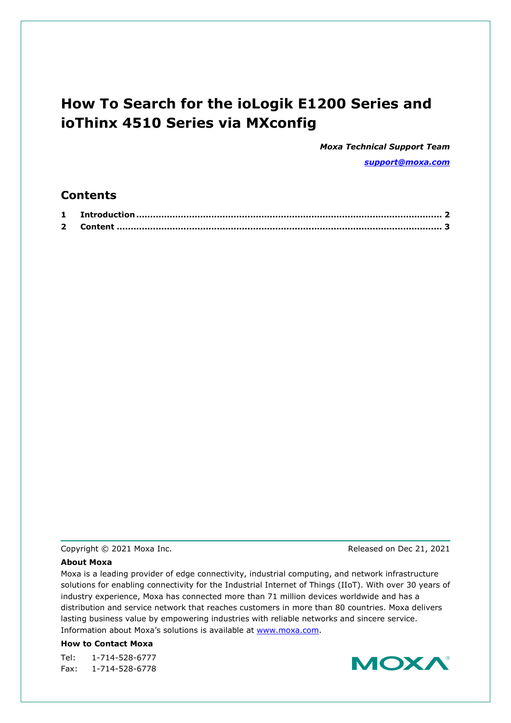# **How To Search for the ioLogik E1200 Series and ioThinx 4510 Series via MXconfig**

*Moxa Technical Support Team [support@moxa.com](mailto:support@moxa.com)*

### **Contents**

| $\overline{\mathbf{2}}$ |  |
|-------------------------|--|

#### Copyright © 2021 Moxa Inc. Copyright © 2021 Moxa Inc.

#### **About Moxa**

Moxa is a leading provider of edge connectivity, industrial computing, and network infrastructure solutions for enabling connectivity for the Industrial Internet of Things (IIoT). With over 30 years of industry experience, Moxa has connected more than 71 million devices worldwide and has a distribution and service network that reaches customers in more than 80 countries. Moxa delivers lasting business value by empowering industries with reliable networks and sincere service. Information about Moxa's solutions is available at [www.moxa.com.](http://www.moxa.com/)

#### **How to Contact Moxa**

Tel: 1-714-528-6777 Fax: 1-714-528-6778

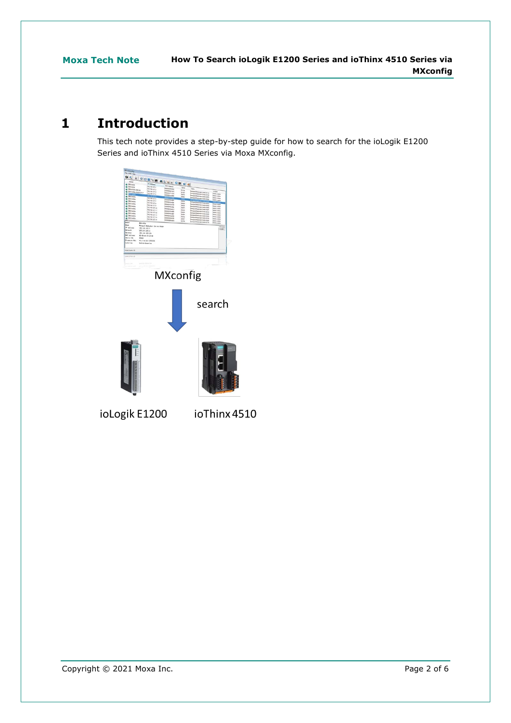# <span id="page-1-0"></span>**1 Introduction**

This tech note provides a step-by-step guide for how to search for the ioLogik E1200 Series and ioThinx 4510 Series via Moxa MXconfig.



ioThinx 4510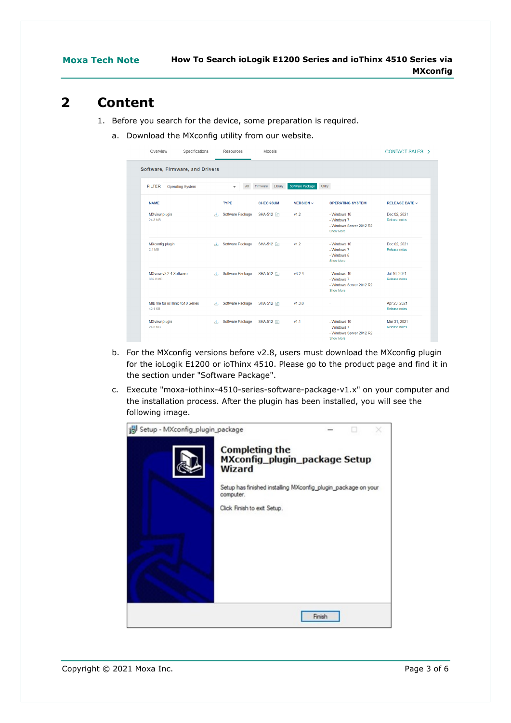### <span id="page-2-0"></span>**2 Content**

- 1. Before you search for the device, some preparation is required.
	- a. Download the MXconfig utility from our website.

| Overview                                    | Specifications<br>Resources                     | Models                             |                       |                                                                      | CONTACT SALES >               |
|---------------------------------------------|-------------------------------------------------|------------------------------------|-----------------------|----------------------------------------------------------------------|-------------------------------|
| Software, Firmware, and Drivers             |                                                 |                                    |                       |                                                                      |                               |
| <b>FILTER</b><br><b>Operating System</b>    | $\checkmark$                                    | Library<br>Firmware<br>$\Delta$ II | Software Package      | Utility                                                              |                               |
| <b>NAME</b>                                 | <b>TYPE</b>                                     | <b>CHECKSUM</b>                    | <b>VERSION</b> $\sim$ | <b>OPERATING SYSTEM</b>                                              | <b>RELEASE DATE V</b>         |
| MXview plugin<br>24.3 MB                    | $\mathcal{A}_{\mathcal{A}}$                     | Software Package SHA-512 <b>E</b>  | v1.2                  | - Windows 10<br>- Windows 7<br>- Windows Server 2012 R2<br>Show More | Dec 02, 2021<br>Release notes |
| MXconfig plugin<br>2.1 MB                   | 44.1                                            | Software Package SHA-512 自         | v1.2                  | - Windows 10<br>- Windows 7<br>- Windows 8<br>Show More              | Dec 02, 2021<br>Release notes |
| MXview v3.2.4 Software<br>389.2 MB          | Software Package<br>$\mathcal{A}_{\mathcal{A}}$ | SHA-512 <b>P</b>                   | v3.2.4                | - Windows 10<br>- Windows 7<br>- Windows Server 2012 R2<br>Show More | Jul 16, 2021<br>Release notes |
| MIB file for ioThinx 4510 Series<br>42.1 KB | Software Package                                | SHA-512 <b>f</b>                   | v1.3.0                | ÷                                                                    | Apr 23, 2021<br>Release notes |
| <b>MXview plugin</b><br>24.3 MB             | Software Package                                | SHA-512 $\Box$                     | v11                   | - Windows 10<br>- Windows 7<br>- Windows Server 2012 R2<br>Show More | Mar 31, 2021<br>Release notes |

- b. For the MXconfig versions before v2.8, users must download the MXconfig plugin for the ioLogik E1200 or ioThinx 4510. Please go to the product page and find it in the section under "Software Package".
- c. Execute "moxa-iothinx-4510-series-software-package-v1.x" on your computer and the installation process. After the plugin has been installed, you will see the following image.

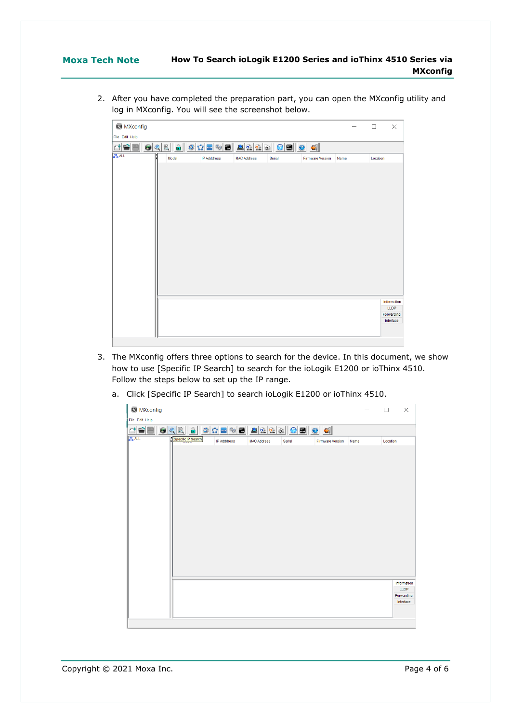#### **Moxa Tech Note How To Search ioLogik E1200 Series and ioThinx 4510 Series via MXconfig**

2. After you have completed the preparation part, you can open the MXconfig utility and log in MXconfig. You will see the screenshot below.

| <b>S</b> MXconfig |                           |                    |                    |        |                         |      | □        | $\times$            |
|-------------------|---------------------------|--------------------|--------------------|--------|-------------------------|------|----------|---------------------|
| File Edit Help    |                           |                    |                    |        |                         |      |          |                     |
| $\Box$<br>rail    | $\hat{\mathbf{a}}$<br>99R | 100000000000       |                    |        |                         |      |          |                     |
| <b>ALL</b>        | Model                     | <b>IP Adddress</b> | <b>MAC Address</b> | Serial | <b>Firmware Version</b> | Name | Location |                     |
|                   |                           |                    |                    |        |                         |      |          | Information<br>LLDP |
|                   |                           |                    |                    |        |                         |      |          | Forwarding          |
|                   |                           |                    |                    |        |                         |      |          | Interface           |
|                   |                           |                    |                    |        |                         |      |          |                     |

- 3. The MXconfig offers three options to search for the device. In this document, we show how to use [Specific IP Search] to search for the ioLogik E1200 or ioThinx 4510. Follow the steps below to set up the IP range.
	- a. Click [Specific IP Search] to search ioLogik E1200 or ioThinx 4510.

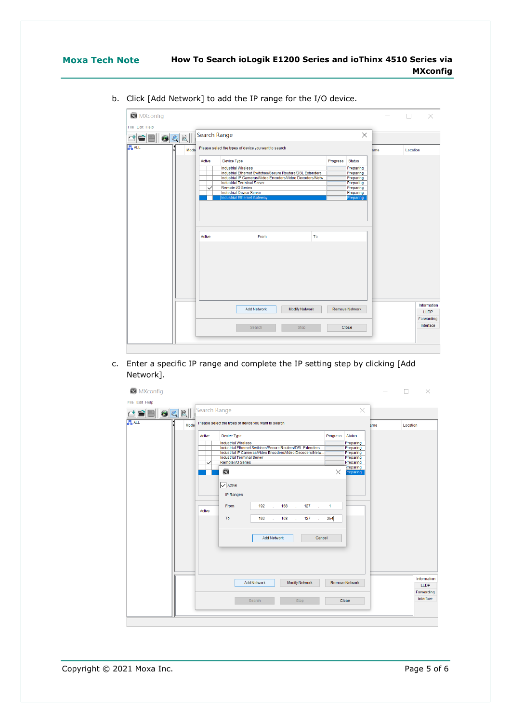| <b>MXcontig</b> |
|-----------------|
|-----------------|

|            | 9CE  | Search Range           |                                                                                                                                                                                                                                                                  |          | $\times$                                                                                    |     |          |                            |
|------------|------|------------------------|------------------------------------------------------------------------------------------------------------------------------------------------------------------------------------------------------------------------------------------------------------------|----------|---------------------------------------------------------------------------------------------|-----|----------|----------------------------|
| <b>ALL</b> | Mode |                        | Please select the types of device you want to search                                                                                                                                                                                                             |          |                                                                                             | ame | Location |                            |
|            |      | Active<br>$\checkmark$ | Device Type<br><b>Industrial Wireless</b><br>Industrial Ethernet Switches/Secure Routers/DSL Extenders<br>Industrial IP Cameras/Video Encoders/Video Decoders/Netw.<br><b>Industrial Terminal Server</b><br>Remote I/O Series<br><b>Industrial Device Server</b> | Progress | <b>Status</b><br>Preparing<br>Preparing<br>Preparing<br>Preparing<br>Preparing<br>Preparing |     |          |                            |
|            |      |                        | Industrial Ethernet Gateway                                                                                                                                                                                                                                      |          | Preparing                                                                                   |     |          |                            |
|            |      | Active                 | To<br>From                                                                                                                                                                                                                                                       |          |                                                                                             |     |          |                            |
|            |      |                        |                                                                                                                                                                                                                                                                  |          |                                                                                             |     |          |                            |
|            |      |                        | <b>Modify Network</b><br><b>Add Network</b>                                                                                                                                                                                                                      |          | <b>Remove Network</b>                                                                       |     |          | Information<br><b>LLDP</b> |
|            |      |                        |                                                                                                                                                                                                                                                                  |          |                                                                                             |     |          | Forwarding                 |

b. Click [Add Network] to add the IP range for the I/O device.

c. Enter a specific IP range and complete the IP setting step by clicking [Add Network].

| <b>X</b> MXconfig<br>File Edit Help |                  |                                                                                                                                                                                                                                                                                                                                                                                   |                                  |                                                                                                          |     | П<br>$\times$                            |
|-------------------------------------|------------------|-----------------------------------------------------------------------------------------------------------------------------------------------------------------------------------------------------------------------------------------------------------------------------------------------------------------------------------------------------------------------------------|----------------------------------|----------------------------------------------------------------------------------------------------------|-----|------------------------------------------|
| $\odot$ QR                          | Search Range     |                                                                                                                                                                                                                                                                                                                                                                                   |                                  | $\times$                                                                                                 |     |                                          |
| <b>ALL</b><br>Mode                  |                  | Please select the types of device you want to search                                                                                                                                                                                                                                                                                                                              |                                  |                                                                                                          | ame | Location                                 |
|                                     | Active<br>Active | Device Type<br><b>Industrial Wireless</b><br>Industrial Ethernet Switches/Secure Routers/DSL Extenders<br>Industrial IP Cameras/Video Encoders/Video Decoders/Netw<br><b>Industrial Terminal Server</b><br>Remote I/O Series<br>図<br>$\sqrt{\phantom{a}}$ Active<br>IP Ranges<br>127<br>From<br>192<br>168<br>ä,<br>To<br>192<br>168<br>127<br>ł.<br><b>Add Network</b><br>Cancel | Progress<br>$\times$<br>1<br>254 | <b>Status</b><br>Preparing<br>Preparing<br>Preparing<br>Preparing<br>Preparing<br>Preparing<br>Preparing |     |                                          |
|                                     |                  | <b>Add Network</b><br><b>Modify Network</b>                                                                                                                                                                                                                                                                                                                                       |                                  | <b>Remove Network</b>                                                                                    |     | Information<br><b>LLDP</b><br>Forwarding |
|                                     |                  | Stop<br>Search                                                                                                                                                                                                                                                                                                                                                                    |                                  | Close                                                                                                    |     | Interface                                |
|                                     |                  |                                                                                                                                                                                                                                                                                                                                                                                   |                                  |                                                                                                          |     |                                          |